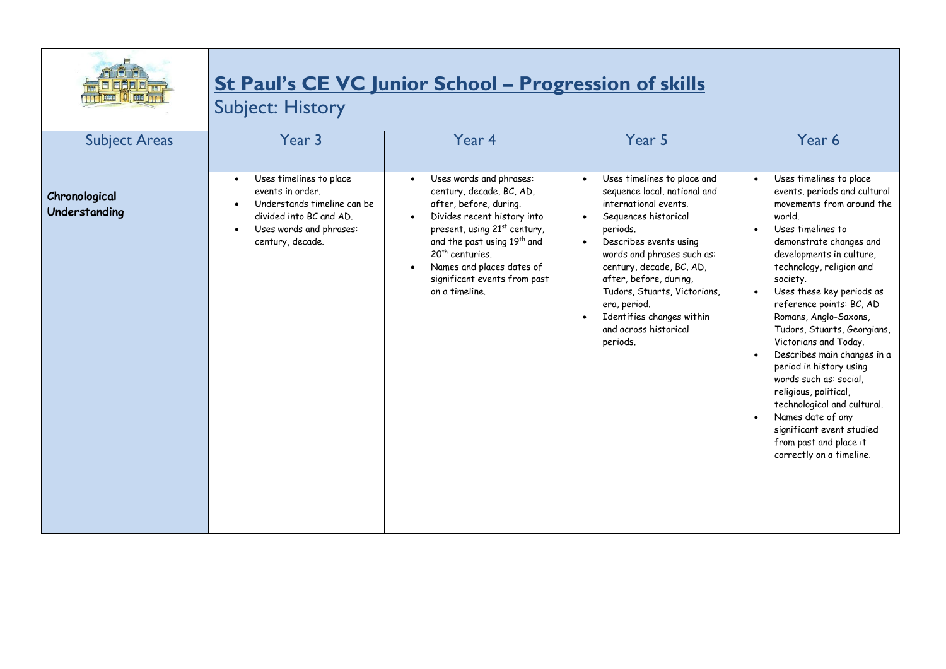

## **St Paul's CE VC Junior School – Progression of skills**

Subject: History

| <b>Subject Areas</b>           | Year 3                                                                                                                                                                         | Year 4                                                                                                                                                                                                                                                                                                            | Year 5                                                                                                                                                                                                                                                                                                                                                                             | Year 6                                                                                                                                                                                                                                                                                                                                                                                                                                                                                                                                                                                                           |
|--------------------------------|--------------------------------------------------------------------------------------------------------------------------------------------------------------------------------|-------------------------------------------------------------------------------------------------------------------------------------------------------------------------------------------------------------------------------------------------------------------------------------------------------------------|------------------------------------------------------------------------------------------------------------------------------------------------------------------------------------------------------------------------------------------------------------------------------------------------------------------------------------------------------------------------------------|------------------------------------------------------------------------------------------------------------------------------------------------------------------------------------------------------------------------------------------------------------------------------------------------------------------------------------------------------------------------------------------------------------------------------------------------------------------------------------------------------------------------------------------------------------------------------------------------------------------|
| Chronological<br>Understanding | Uses timelines to place<br>$\bullet$<br>events in order.<br>Understands timeline can be<br>divided into BC and AD.<br>Uses words and phrases:<br>$\bullet$<br>century, decade. | Uses words and phrases:<br>century, decade, BC, AD,<br>after, before, during.<br>Divides recent history into<br>present, using 21 <sup>st</sup> century,<br>and the past using 19 <sup>th</sup> and<br>20 <sup>th</sup> centuries.<br>Names and places dates of<br>significant events from past<br>on a timeline. | Uses timelines to place and<br>$\bullet$<br>sequence local, national and<br>international events.<br>Sequences historical<br>periods.<br>Describes events using<br>$\bullet$<br>words and phrases such as:<br>century, decade, BC, AD,<br>after, before, during,<br>Tudors, Stuarts, Victorians,<br>era, period.<br>Identifies changes within<br>and across historical<br>periods. | Uses timelines to place<br>events, periods and cultural<br>movements from around the<br>world.<br>Uses timelines to<br>demonstrate changes and<br>developments in culture,<br>technology, religion and<br>society.<br>Uses these key periods as<br>reference points: BC, AD<br>Romans, Anglo-Saxons,<br>Tudors, Stuarts, Georgians,<br>Victorians and Today.<br>Describes main changes in a<br>period in history using<br>words such as: social,<br>religious, political,<br>technological and cultural.<br>Names date of any<br>significant event studied<br>from past and place it<br>correctly on a timeline. |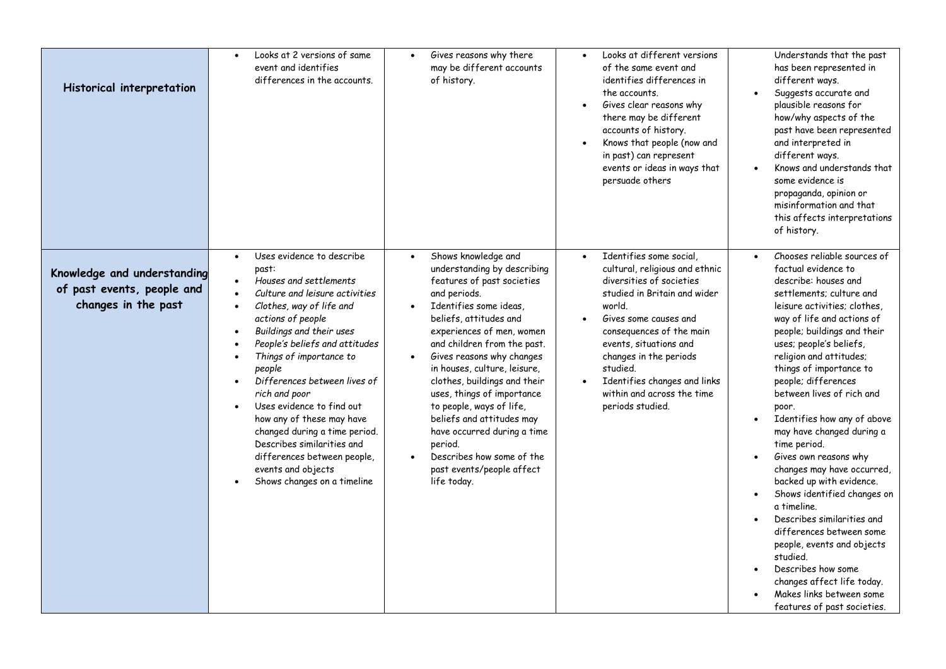| Historical interpretation                                                        | Looks at 2 versions of same<br>$\bullet$<br>event and identifies<br>differences in the accounts.                                                                                                                                                                                                                                                                                                                                                                                                                                                                     | Gives reasons why there<br>$\bullet$<br>may be different accounts<br>of history.                                                                                                                                                                                                                                                                                                                                                                                                                                                                              | Looks at different versions<br>of the same event and<br>identifies differences in<br>the accounts.<br>Gives clear reasons why<br>there may be different<br>accounts of history.<br>Knows that people (now and<br>in past) can represent<br>events or ideas in ways that<br>persuade others                                             | Understands that the past<br>has been represented in<br>different ways.<br>Suggests accurate and<br>plausible reasons for<br>how/why aspects of the<br>past have been represented<br>and interpreted in<br>different ways.<br>Knows and understands that<br>some evidence is<br>propaganda, opinion or<br>misinformation and that<br>this affects interpretations<br>of history.                                                                                                                                                                                                                                                                                                                                                                                                               |
|----------------------------------------------------------------------------------|----------------------------------------------------------------------------------------------------------------------------------------------------------------------------------------------------------------------------------------------------------------------------------------------------------------------------------------------------------------------------------------------------------------------------------------------------------------------------------------------------------------------------------------------------------------------|---------------------------------------------------------------------------------------------------------------------------------------------------------------------------------------------------------------------------------------------------------------------------------------------------------------------------------------------------------------------------------------------------------------------------------------------------------------------------------------------------------------------------------------------------------------|----------------------------------------------------------------------------------------------------------------------------------------------------------------------------------------------------------------------------------------------------------------------------------------------------------------------------------------|------------------------------------------------------------------------------------------------------------------------------------------------------------------------------------------------------------------------------------------------------------------------------------------------------------------------------------------------------------------------------------------------------------------------------------------------------------------------------------------------------------------------------------------------------------------------------------------------------------------------------------------------------------------------------------------------------------------------------------------------------------------------------------------------|
| Knowledge and understanding<br>of past events, people and<br>changes in the past | Uses evidence to describe<br>$\bullet$<br>past:<br>Houses and settlements<br>Culture and leisure activities<br>Clothes, way of life and<br>$\bullet$<br>actions of people<br>Buildings and their uses<br>$\bullet$<br>People's beliefs and attitudes<br>Things of importance to<br>people<br>Differences between lives of<br>rich and poor<br>Uses evidence to find out<br>$\bullet$<br>how any of these may have<br>changed during a time period.<br>Describes similarities and<br>differences between people,<br>events and objects<br>Shows changes on a timeline | Shows knowledge and<br>$\bullet$<br>understanding by describing<br>features of past societies<br>and periods.<br>Identifies some ideas<br>$\bullet$<br>beliefs, attitudes and<br>experiences of men, women<br>and children from the past.<br>Gives reasons why changes<br>$\bullet$<br>in houses, culture, leisure,<br>clothes, buildings and their<br>uses, things of importance<br>to people, ways of life,<br>beliefs and attitudes may<br>have occurred during a time<br>period.<br>Describes how some of the<br>past events/people affect<br>life today. | Identifies some social,<br>cultural, religious and ethnic<br>diversities of societies<br>studied in Britain and wider<br>world.<br>Gives some causes and<br>consequences of the main<br>events, situations and<br>changes in the periods<br>studied.<br>Identifies changes and links<br>within and across the time<br>periods studied. | Chooses reliable sources of<br>factual evidence to<br>describe: houses and<br>settlements: culture and<br>leisure activities; clothes,<br>way of life and actions of<br>people; buildings and their<br>uses; people's beliefs,<br>religion and attitudes;<br>things of importance to<br>people; differences<br>between lives of rich and<br>poor.<br>Identifies how any of above<br>$\bullet$<br>may have changed during a<br>time period.<br>Gives own reasons why<br>changes may have occurred,<br>backed up with evidence.<br>Shows identified changes on<br>a timeline.<br>Describes similarities and<br>differences between some<br>people, events and objects<br>studied.<br>Describes how some<br>changes affect life today.<br>Makes links between some<br>features of past societies. |